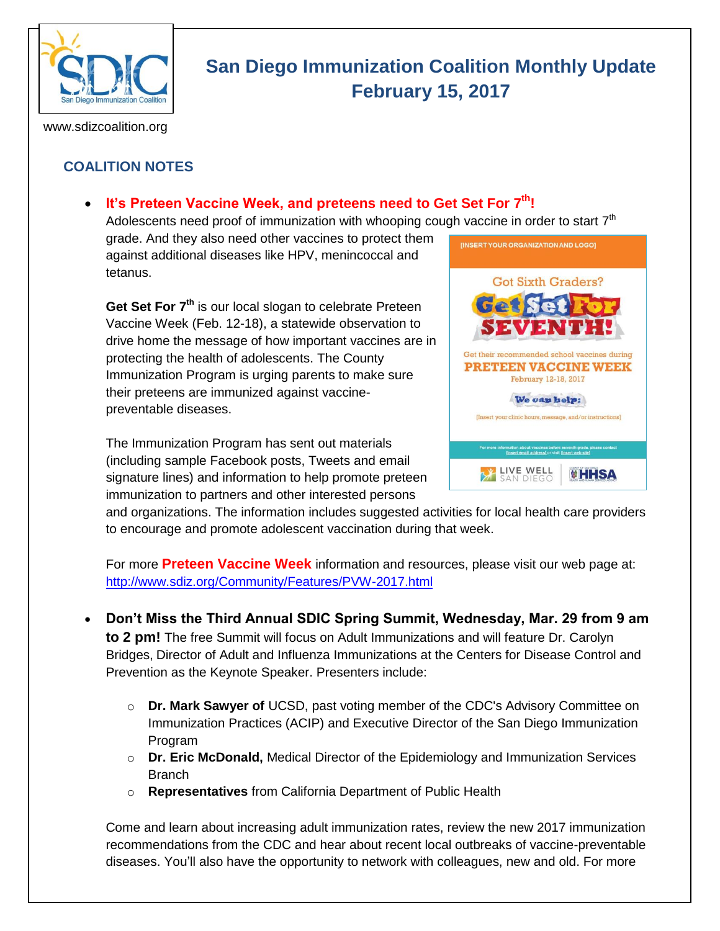

# **San Diego Immunization Coalition Monthly Update February 15, 2017**

www.sdizcoalition.org

# **COALITION NOTES**

# **It's Preteen Vaccine Week, and preteens need to Get Set For 7th!**

Adolescents need proof of immunization with whooping cough vaccine in order to start  $7<sup>th</sup>$ grade. And they also need other vaccines to protect them [INSERTYOUR ORGANIZATION AND LOGO]

against additional diseases like HPV, menincoccal and tetanus.

**Get Set For 7th** is our local slogan to celebrate Preteen Vaccine Week (Feb. 12-18), a statewide observation to drive home the message of how important vaccines are in protecting the health of adolescents. The County Immunization Program is urging parents to make sure their preteens are immunized against vaccinepreventable diseases.

The Immunization Program has sent out materials (including sample Facebook posts, Tweets and email signature lines) and information to help promote preteen immunization to partners and other interested persons



and organizations. The information includes suggested activities for local health care providers to encourage and promote adolescent vaccination during that week.

For more **Preteen Vaccine Week** information and resources, please visit our web page at: <http://www.sdiz.org/Community/Features/PVW-2017.html>

- **Don't Miss the Third Annual SDIC Spring Summit, Wednesday, Mar. 29 from 9 am to 2 pm!** The free Summit will focus on Adult Immunizations and will feature Dr. Carolyn Bridges, Director of Adult and Influenza Immunizations at the Centers for Disease Control and Prevention as the Keynote Speaker. Presenters include:
	- o **Dr. Mark Sawyer of** UCSD, past voting member of the CDC's Advisory Committee on Immunization Practices (ACIP) and Executive Director of the San Diego Immunization Program
	- o **Dr. Eric McDonald,** Medical Director of the Epidemiology and Immunization Services **Branch**
	- o **Representatives** from California Department of Public Health

Come and learn about increasing adult immunization rates, review the new 2017 immunization recommendations from the CDC and hear about recent local outbreaks of vaccine-preventable diseases. You'll also have the opportunity to network with colleagues, new and old. For more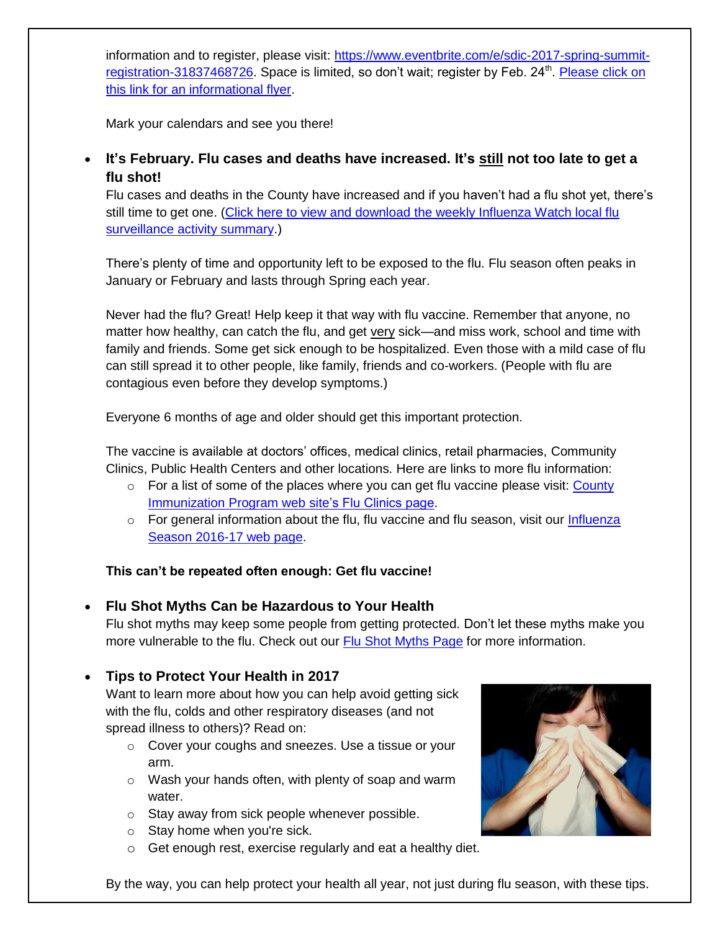information and to register, please visit: [https://www.eventbrite.com/e/sdic-2017-spring-summit](https://www.eventbrite.com/e/sdic-2017-spring-summit-registration-31837468726)[registration-31837468726.](https://www.eventbrite.com/e/sdic-2017-spring-summit-registration-31837468726) Space is limited, so don't wait; register by Feb. 24<sup>th</sup>. Please click on [this link for an informational flyer.](http://media.wix.com/ugd/6bcfec_8de0eed7c65144028fc1def228442abd.pdf)

Mark your calendars and see you there!

# **It's February. Flu cases and deaths have increased. It's still not too late to get a flu shot!**

Flu cases and deaths in the County have increased and if you haven't had a flu shot yet, there's still time to get one. [\(Click here to view and download the weekly Influenza Watch local flu](http://www.sandiegocounty.gov/content/dam/sdc/hhsa/programs/phs/documents/InfluenzaWatch.pdf)  [surveillance activity summary.](http://www.sandiegocounty.gov/content/dam/sdc/hhsa/programs/phs/documents/InfluenzaWatch.pdf))

There's plenty of time and opportunity left to be exposed to the flu. Flu season often peaks in January or February and lasts through Spring each year.

Never had the flu? Great! Help keep it that way with flu vaccine. Remember that anyone, no matter how healthy, can catch the flu, and get very sick—and miss work, school and time with family and friends. Some get sick enough to be hospitalized. Even those with a mild case of flu can still spread it to other people, like family, friends and co-workers. (People with flu are contagious even before they develop symptoms.)

Everyone 6 months of age and older should get this important protection.

The vaccine is available at doctors' offices, medical clinics, retail pharmacies, Community Clinics, Public Health Centers and other locations. Here are links to more flu information:

- $\circ$  For a list of some of the places where you can get flu vaccine please visit: County [Immunization Program web](http://www.sdiz.org/Community/Features/Flu-2016-2017-clinics.html) site's Flu Clinics page.
- $\circ$  For general information about the flu, flu vaccine and flu season, visit our Influenza [Season 2016-17 web page.](http://www.sdiz.org/Community/Features/Flu-2016-17.html)

#### **This can't be repeated often enough: Get flu vaccine!**

**Flu Shot Myths Can be Hazardous to Your Health**

Flu shot myths may keep some people from getting protected. Don't let these myths make you more vulnerable to the flu. Check out our [Flu Shot Myths Page](https://insight.livestories.com/s/debunking-common-flu-vaccine-myths/561fdc42a750b378cac5af6a/) for more information.

#### **Tips to Protect Your Health in 2017**

Want to learn more about how you can help avoid getting sick with the flu, colds and other respiratory diseases (and not spread illness to others)? Read on:

- o Cover your coughs and sneezes. Use a tissue or your arm.
- o Wash your hands often, with plenty of soap and warm water.
- o Stay away from sick people whenever possible.
- $\circ$  Stay home when you're sick.
- o Get enough rest, exercise regularly and eat a healthy diet.



By the way, you can help protect your health all year, not just during flu season, with these tips.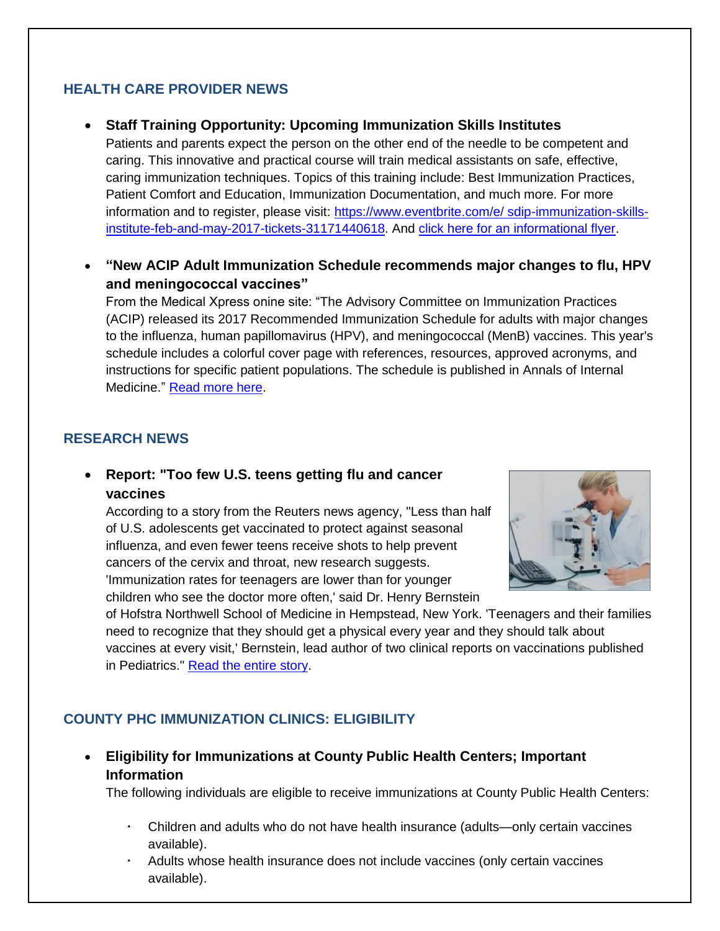## **HEALTH CARE PROVIDER NEWS**

#### **Staff Training Opportunity: Upcoming Immunization Skills Institutes**

Patients and parents expect the person on the other end of the needle to be competent and caring. This innovative and practical course will train medical assistants on safe, effective, caring immunization techniques. Topics of this training include: Best Immunization Practices, Patient Comfort and Education, Immunization Documentation, and much more. For more information and to register, please visit: [https://www.eventbrite.com/e/ sdip-immunization-skills](https://www.eventbrite.com/e/%20sdip-immunization-skills-institute-feb-and-may-2017-tickets-31171440618)[institute-feb-and-may-2017-tickets-31171440618.](https://www.eventbrite.com/e/%20sdip-immunization-skills-institute-feb-and-may-2017-tickets-31171440618) And [click here for an informational flyer.](http://media.wix.com/ugd/6bcfec_45a3c776dc664a3b8b31a3322f74e127.pdf)

 **"New ACIP Adult Immunization Schedule recommends major changes to flu, HPV and meningococcal vaccines"**

From the Medical Xpress onine site: "The Advisory Committee on Immunization Practices (ACIP) released its 2017 Recommended Immunization Schedule for adults with major changes to the influenza, human papillomavirus (HPV), and meningococcal (MenB) vaccines. This year's schedule includes a colorful cover page with references, resources, approved acronyms, and instructions for specific patient populations. The schedule is published in Annals of Internal Medicine." [Read more here.](https://medicalxpress.com/news/2017-02-acip-adult-immunization-major-flu.html#jCp)

#### **RESEARCH NEWS**

 **Report: "Too few U.S. teens getting flu and cancer vaccines**

According to a story from the Reuters news agency, "Less than half of U.S. adolescents get vaccinated to protect against seasonal influenza, and even fewer teens receive shots to help prevent cancers of the cervix and throat, new research suggests. 'Immunization rates for teenagers are lower than for younger children who see the doctor more often,' said Dr. Henry Bernstein



of Hofstra Northwell School of Medicine in Hempstead, New York. 'Teenagers and their families need to recognize that they should get a physical every year and they should talk about vaccines at every visit,' Bernstein, lead author of two clinical reports on vaccinations published in Pediatrics." [Read the entire story.](http://www.reuters.com/article/us-health-adolescents-vaccines-idUSKBN15M25P)

#### **COUNTY PHC IMMUNIZATION CLINICS: ELIGIBILITY**

 **Eligibility for Immunizations at County Public Health Centers; Important Information** 

The following individuals are eligible to receive immunizations at County Public Health Centers:

- Children and adults who do not have health insurance (adults—only certain vaccines available).
- Adults whose health insurance does not include vaccines (only certain vaccines available).